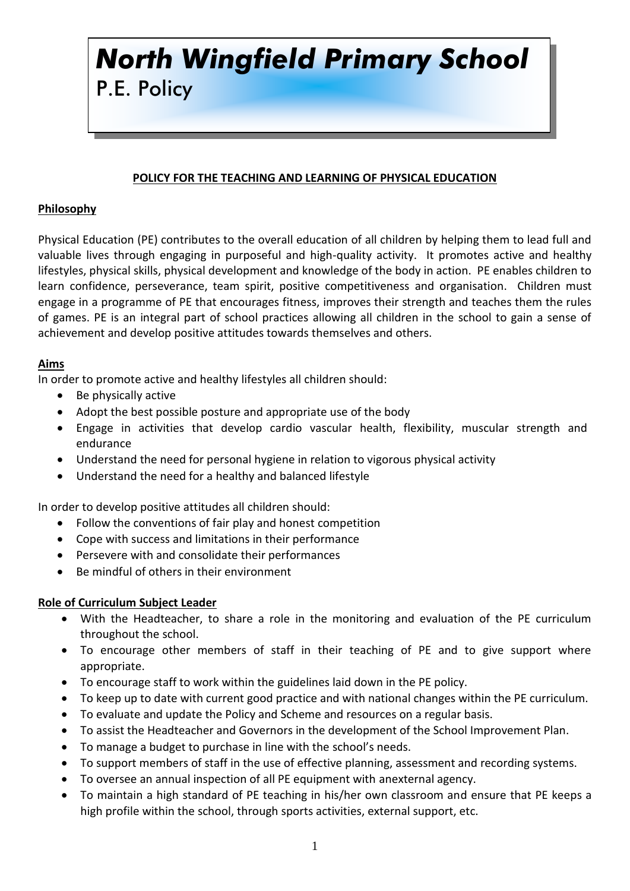# *North Wingfield Primary School* P.E. Policy

## **POLICY FOR THE TEACHING AND LEARNING OF PHYSICAL EDUCATION**

## **Philosophy**

Physical Education (PE) contributes to the overall education of all children by helping them to lead full and valuable lives through engaging in purposeful and high-quality activity. It promotes active and healthy lifestyles, physical skills, physical development and knowledge of the body in action. PE enables children to learn confidence, perseverance, team spirit, positive competitiveness and organisation. Children must engage in a programme of PE that encourages fitness, improves their strength and teaches them the rules of games. PE is an integral part of school practices allowing all children in the school to gain a sense of achievement and develop positive attitudes towards themselves and others.

#### **Aims**

In order to promote active and healthy lifestyles all children should:

- Be physically active
- Adopt the best possible posture and appropriate use of the body
- Engage in activities that develop cardio vascular health, flexibility, muscular strength and endurance
- Understand the need for personal hygiene in relation to vigorous physical activity
- Understand the need for a healthy and balanced lifestyle

In order to develop positive attitudes all children should:

- Follow the conventions of fair play and honest competition
- Cope with success and limitations in their performance
- Persevere with and consolidate their performances
- Be mindful of others in their environment

#### **Role of Curriculum Subject Leader**

- With the Headteacher, to share a role in the monitoring and evaluation of the PE curriculum throughout the school.
- To encourage other members of staff in their teaching of PE and to give support where appropriate.
- To encourage staff to work within the guidelines laid down in the PE policy.
- To keep up to date with current good practice and with national changes within the PE curriculum.
- To evaluate and update the Policy and Scheme and resources on a regular basis.
- To assist the Headteacher and Governors in the development of the School Improvement Plan.
- To manage a budget to purchase in line with the school's needs.
- To support members of staff in the use of effective planning, assessment and recording systems.
- To oversee an annual inspection of all PE equipment with anexternal agency.
- To maintain a high standard of PE teaching in his/her own classroom and ensure that PE keeps a high profile within the school, through sports activities, external support, etc.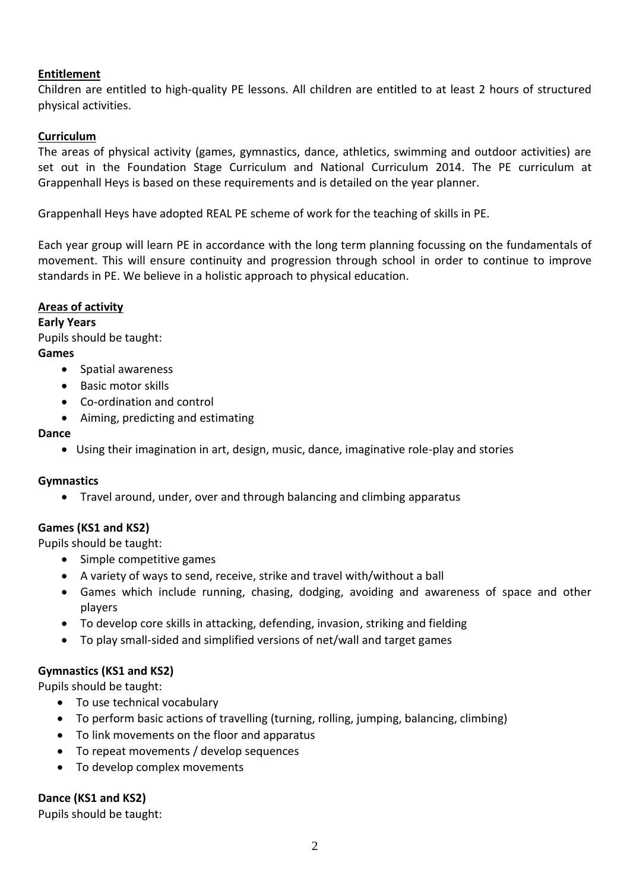## **Entitlement**

Children are entitled to high-quality PE lessons. All children are entitled to at least 2 hours of structured physical activities.

## **Curriculum**

The areas of physical activity (games, gymnastics, dance, athletics, swimming and outdoor activities) are set out in the Foundation Stage Curriculum and National Curriculum 2014. The PE curriculum at Grappenhall Heys is based on these requirements and is detailed on the year planner.

Grappenhall Heys have adopted REAL PE scheme of work for the teaching of skills in PE.

Each year group will learn PE in accordance with the long term planning focussing on the fundamentals of movement. This will ensure continuity and progression through school in order to continue to improve standards in PE. We believe in a holistic approach to physical education.

## **Areas of activity**

**Early Years** Pupils should be taught: **Games** 

- Spatial awareness
- Basic motor skills
- Co-ordination and control
- Aiming, predicting and estimating

#### **Dance**

Using their imagination in art, design, music, dance, imaginative role-play and stories

## **Gymnastics**

Travel around, under, over and through balancing and climbing apparatus

# **Games (KS1 and KS2)**

Pupils should be taught:

- Simple competitive games
- A variety of ways to send, receive, strike and travel with/without a ball
- Games which include running, chasing, dodging, avoiding and awareness of space and other players
- To develop core skills in attacking, defending, invasion, striking and fielding
- To play small-sided and simplified versions of net/wall and target games

# **Gymnastics (KS1 and KS2)**

Pupils should be taught:

- To use technical vocabulary
- To perform basic actions of travelling (turning, rolling, jumping, balancing, climbing)
- To link movements on the floor and apparatus
- To repeat movements / develop sequences
- To develop complex movements

# **Dance (KS1 and KS2)**

Pupils should be taught: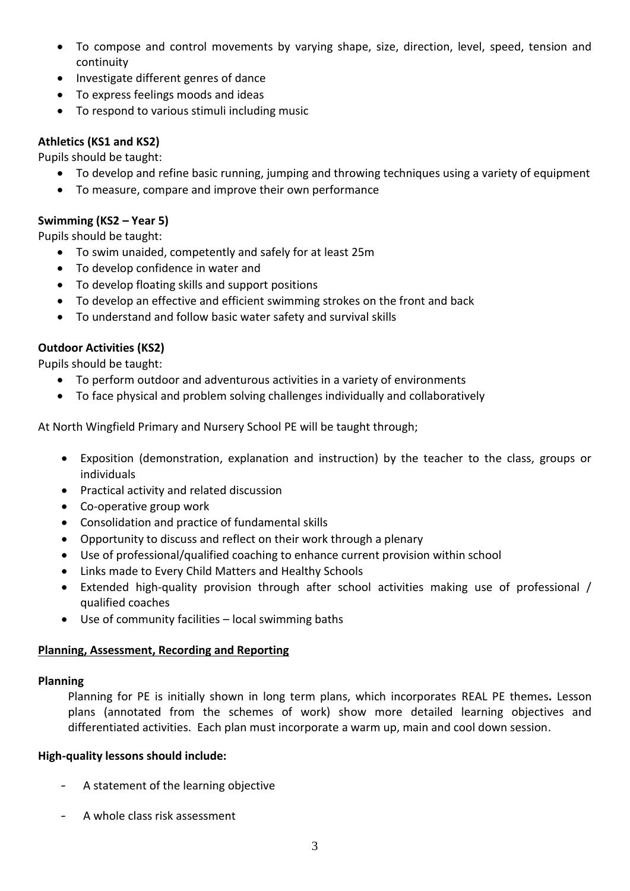- To compose and control movements by varying shape, size, direction, level, speed, tension and continuity
- Investigate different genres of dance
- To express feelings moods and ideas
- To respond to various stimuli including music

# **Athletics (KS1 and KS2)**

Pupils should be taught:

- To develop and refine basic running, jumping and throwing techniques using a variety of equipment
- To measure, compare and improve their own performance

# **Swimming (KS2 – Year 5)**

Pupils should be taught:

- To swim unaided, competently and safely for at least 25m
- To develop confidence in water and
- To develop floating skills and support positions
- To develop an effective and efficient swimming strokes on the front and back
- To understand and follow basic water safety and survival skills

# **Outdoor Activities (KS2)**

Pupils should be taught:

- To perform outdoor and adventurous activities in a variety of environments
- To face physical and problem solving challenges individually and collaboratively

At North Wingfield Primary and Nursery School PE will be taught through;

- Exposition (demonstration, explanation and instruction) by the teacher to the class, groups or individuals
- Practical activity and related discussion
- Co-operative group work
- Consolidation and practice of fundamental skills
- Opportunity to discuss and reflect on their work through a plenary
- Use of professional/qualified coaching to enhance current provision within school
- Links made to Every Child Matters and Healthy Schools
- Extended high-quality provision through after school activities making use of professional / qualified coaches
- Use of community facilities local swimming baths

# **Planning, Assessment, Recording and Reporting**

# **Planning**

Planning for PE is initially shown in long term plans, which incorporates REAL PE themes**.** Lesson plans (annotated from the schemes of work) show more detailed learning objectives and differentiated activities. Each plan must incorporate a warm up, main and cool down session.

# **High-quality lessons should include:**

- A statement of the learning objective
- A whole class risk assessment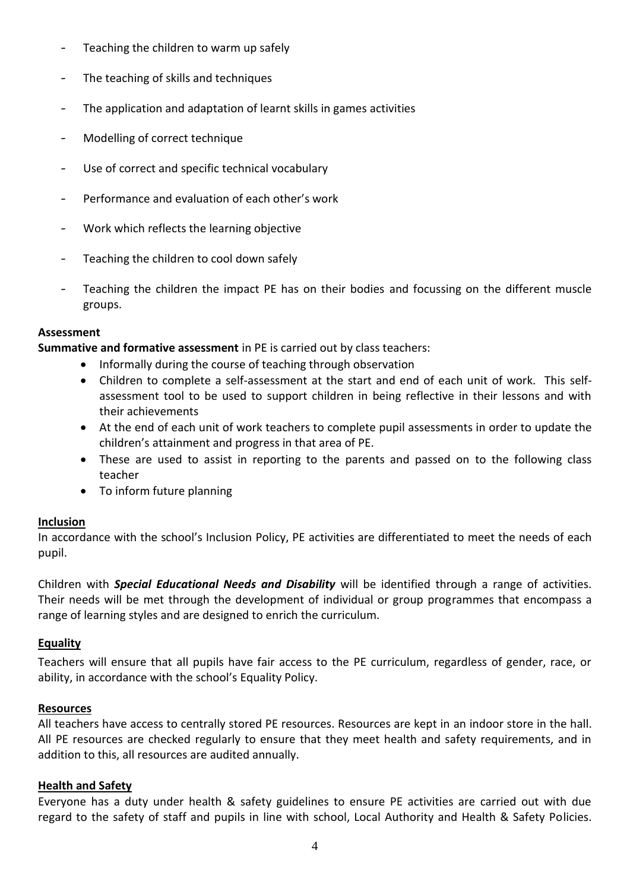- Teaching the children to warm up safely
- The teaching of skills and techniques
- The application and adaptation of learnt skills in games activities
- Modelling of correct technique
- Use of correct and specific technical vocabulary
- Performance and evaluation of each other's work
- Work which reflects the learning objective
- Teaching the children to cool down safely
- Teaching the children the impact PE has on their bodies and focussing on the different muscle groups.

## **Assessment**

**Summative and formative assessment** in PE is carried out by class teachers:

- Informally during the course of teaching through observation
- Children to complete a self-assessment at the start and end of each unit of work. This selfassessment tool to be used to support children in being reflective in their lessons and with their achievements
- At the end of each unit of work teachers to complete pupil assessments in order to update the children's attainment and progress in that area of PE.
- These are used to assist in reporting to the parents and passed on to the following class teacher
- To inform future planning

## **Inclusion**

In accordance with the school's Inclusion Policy, PE activities are differentiated to meet the needs of each pupil.

Children with *Special Educational Needs and Disability* will be identified through a range of activities. Their needs will be met through the development of individual or group programmes that encompass a range of learning styles and are designed to enrich the curriculum.

## **Equality**

Teachers will ensure that all pupils have fair access to the PE curriculum, regardless of gender, race, or ability, in accordance with the school's Equality Policy.

## **Resources**

All teachers have access to centrally stored PE resources. Resources are kept in an indoor store in the hall. All PE resources are checked regularly to ensure that they meet health and safety requirements, and in addition to this, all resources are audited annually.

## **Health and Safety**

Everyone has a duty under health & safety guidelines to ensure PE activities are carried out with due regard to the safety of staff and pupils in line with school, Local Authority and Health & Safety Policies.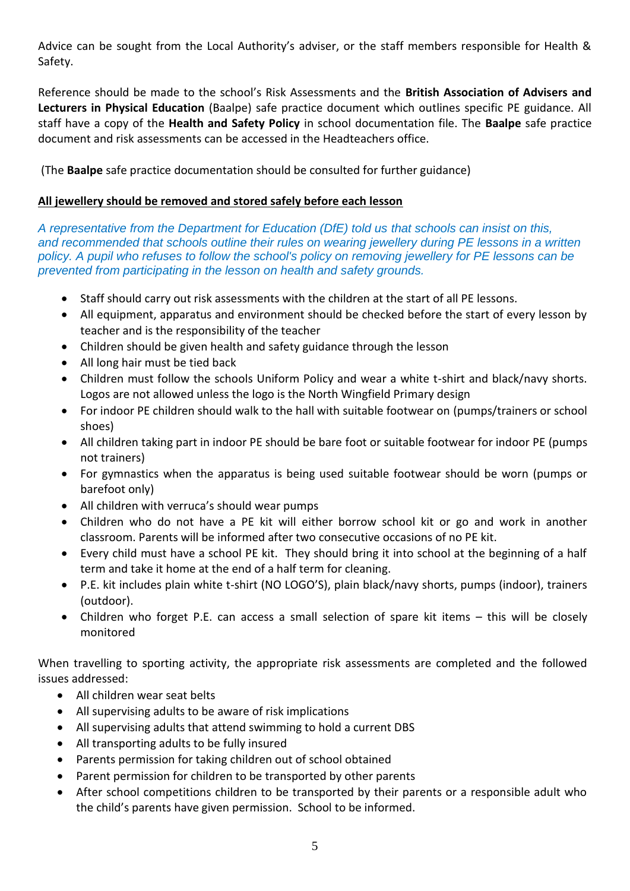Advice can be sought from the Local Authority's adviser, or the staff members responsible for Health & Safety.

Reference should be made to the school's Risk Assessments and the **British Association of Advisers and Lecturers in Physical Education** (Baalpe) safe practice document which outlines specific PE guidance. All staff have a copy of the **Health and Safety Policy** in school documentation file. The **Baalpe** safe practice document and risk assessments can be accessed in the Headteachers office.

(The **Baalpe** safe practice documentation should be consulted for further guidance)

## **All jewellery should be removed and stored safely before each lesson**

*A representative from the Department for Education (DfE) told us that schools can insist on this, and recommended that schools outline their rules on wearing jewellery during PE lessons in a written policy. A pupil who refuses to follow the school's policy on removing jewellery for PE lessons can be prevented from participating in the lesson on health and safety grounds.*

- Staff should carry out risk assessments with the children at the start of all PE lessons.
- All equipment, apparatus and environment should be checked before the start of every lesson by teacher and is the responsibility of the teacher
- Children should be given health and safety guidance through the lesson
- All long hair must be tied back
- Children must follow the schools Uniform Policy and wear a white t-shirt and black/navy shorts. Logos are not allowed unless the logo is the North Wingfield Primary design
- For indoor PE children should walk to the hall with suitable footwear on (pumps/trainers or school shoes)
- All children taking part in indoor PE should be bare foot or suitable footwear for indoor PE (pumps not trainers)
- For gymnastics when the apparatus is being used suitable footwear should be worn (pumps or barefoot only)
- All children with verruca's should wear pumps
- Children who do not have a PE kit will either borrow school kit or go and work in another classroom. Parents will be informed after two consecutive occasions of no PE kit.
- Every child must have a school PE kit. They should bring it into school at the beginning of a half term and take it home at the end of a half term for cleaning.
- P.E. kit includes plain white t-shirt (NO LOGO'S), plain black/navy shorts, pumps (indoor), trainers (outdoor).
- Children who forget P.E. can access a small selection of spare kit items this will be closely monitored

When travelling to sporting activity, the appropriate risk assessments are completed and the followed issues addressed:

- All children wear seat belts
- All supervising adults to be aware of risk implications
- All supervising adults that attend swimming to hold a current DBS
- All transporting adults to be fully insured
- Parents permission for taking children out of school obtained
- Parent permission for children to be transported by other parents
- After school competitions children to be transported by their parents or a responsible adult who the child's parents have given permission. School to be informed.